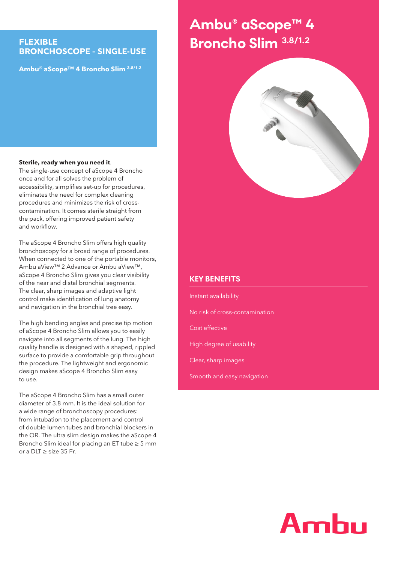## **FLEXIBLE BRONCHOSCOPE – SINGLE-USE**

**Ambu® aScope™ 4 Broncho Slim 3.8/1.2**

# Ambu® aScope™ 4 **Advance Broncho Slim 3.8/1.2**



#### **Sterile, ready when you need it**.

The single-use concept of aScope 4 Broncho once and for all solves the problem of accessibility, simplifies set-up for procedures, eliminates the need for complex cleaning procedures and minimizes the risk of crosscontamination. It comes sterile straight from the pack, offering improved patient safety and workflow.

The aScope 4 Broncho Slim offers high quality bronchoscopy for a broad range of procedures. When connected to one of the portable monitors, Ambu aView™ 2 Advance or Ambu aView™, aScope 4 Broncho Slim gives you clear visibility of the near and distal bronchial segments. The clear, sharp images and adaptive light control make identification of lung anatomy and navigation in the bronchial tree easy.

The high bending angles and precise tip motion of aScope 4 Broncho Slim allows you to easily navigate into all segments of the lung. The high quality handle is designed with a shaped, rippled surface to provide a comfortable grip throughout the procedure. The lightweight and ergonomic design makes aScope 4 Broncho Slim easy to use.

The aScope 4 Broncho Slim has a small outer diameter of 3.8 mm. It is the ideal solution for a wide range of bronchoscopy procedures: from intubation to the placement and control of double lumen tubes and bronchial blockers in the OR. The ultra slim design makes the aScope 4 Broncho Slim ideal for placing an ET tube ≥ 5 mm or a DLT ≥ size 35 Fr.

#### **KEY BENEFITS**

Instant availability No risk of cross-contamination Cost effective High degree of usability Clear, sharp images Smooth and easy navigation